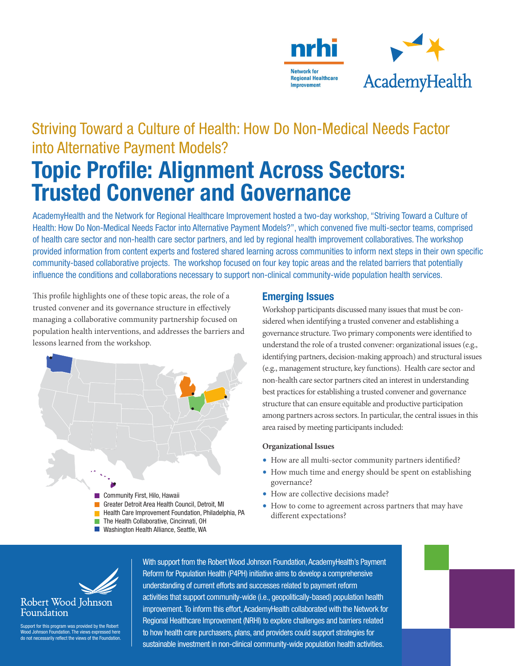

# Striving Toward a Culture of Health: How Do Non-Medical Needs Factor into Alternative Payment Models? Topic Profile: Alignment Across Sectors: Trusted Convener and Governance

AcademyHealth and the Network for Regional Healthcare Improvement hosted a two-day workshop, "Striving Toward a Culture of Health: How Do Non-Medical Needs Factor into Alternative Payment Models?", which convened five multi-sector teams, comprised of health care sector and non-health care sector partners, and led by regional health improvement collaboratives. The workshop provided information from content experts and fostered shared learning across communities to inform next steps in their own specific community-based collaborative projects. The workshop focused on four key topic areas and the related barriers that potentially influence the conditions and collaborations necessary to support non-clinical community-wide population health services.

This profile highlights one of these topic areas, the role of a trusted convener and its governance structure in effectively managing a collaborative community partnership focused on population health interventions, and addresses the barriers and lessons learned from the workshop.



## Emerging Issues

Workshop participants discussed many issues that must be considered when identifying a trusted convener and establishing a governance structure. Two primary components were identified to understand the role of a trusted convener: organizational issues (e.g., identifying partners, decision-making approach) and structural issues (e.g., management structure, key functions). Health care sector and non-health care sector partners cited an interest in understanding best practices for establishing a trusted convener and governance structure that can ensure equitable and productive participation among partners across sectors. In particular, the central issues in this area raised by meeting participants included:

#### **Organizational Issues**

- How are all multi-sector community partners identified?
- How much time and energy should be spent on establishing governance?
- How are collective decisions made?
- How to come to agreement across partners that may have different expectations?



Support for this program was provided by the Robert Wood Johnson Foundation. The views expressed here do not necessarily reflect the views of the Foundation.

With support from the Robert Wood Johnson Foundation, AcademyHealth's Payment Reform for Population Health (P4PH) initiative aims to develop a comprehensive understanding of current efforts and successes related to payment reform activities that support community-wide (i.e., geopolitically-based) population health improvement. To inform this effort, AcademyHealth collaborated with the Network for Regional Healthcare Improvement (NRHI) to explore challenges and barriers related to how health care purchasers, plans, and providers could support strategies for sustainable investment in non-clinical community-wide population health activities.